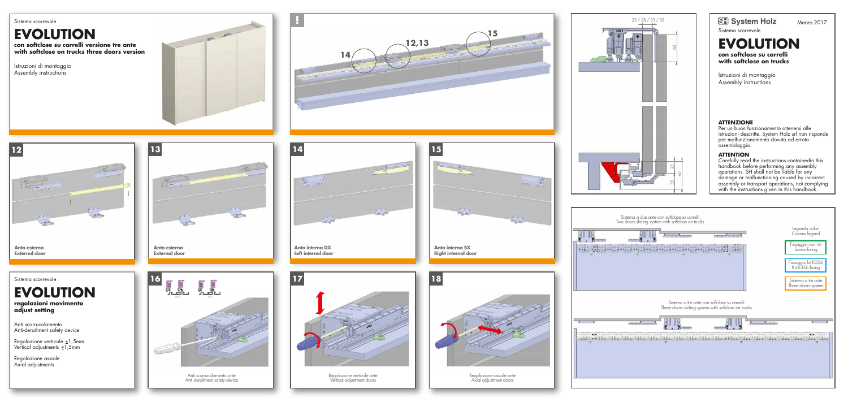



Sistema scorrevole

**EVOLUTION con softclose su carrelli with softclose on trucks** 

Istruzioni di montaggio Assembly instructions

## **ATTENZIONE**

Per un buon funzionamento attenersi alle istruzioni descritte. System Holz srl non risponde per malfunzionamento dovuto ad errato assemblaggio.

Anti scarrucolamento ante de des de la contrata de la contrata de la contrata de la contrata de la contrata de<br>Anti derailment safety device de la contrata de la contrata de la contrata de la contrata de la contrata de la Vertical adjustment doors

## **ATTENTION**

Carefully read the instructions containedin this handbook before performing any assembly operations. SH shall not be liable for any damage or malfunctioning caused by incorrect assembly or transport operations, not complying with the instructions given in this handbook.



Anti scarrucolamento ante



Axial adjustment doors















Sistema scorrevole

**EVOLUTION con softclose su carrelli versione tre ante with softclose on trucks three doors version** 

Istruzioni di montaggio Assembly instructions



## **EVOLUTION regolazioni movimento adjust setting**

Anti scarrucolamento Anti-derailment safety device

Regolazione verticale ±1,5mm Vertical adjustments ±1,5mm

Regolazione assiale Axial adjustments